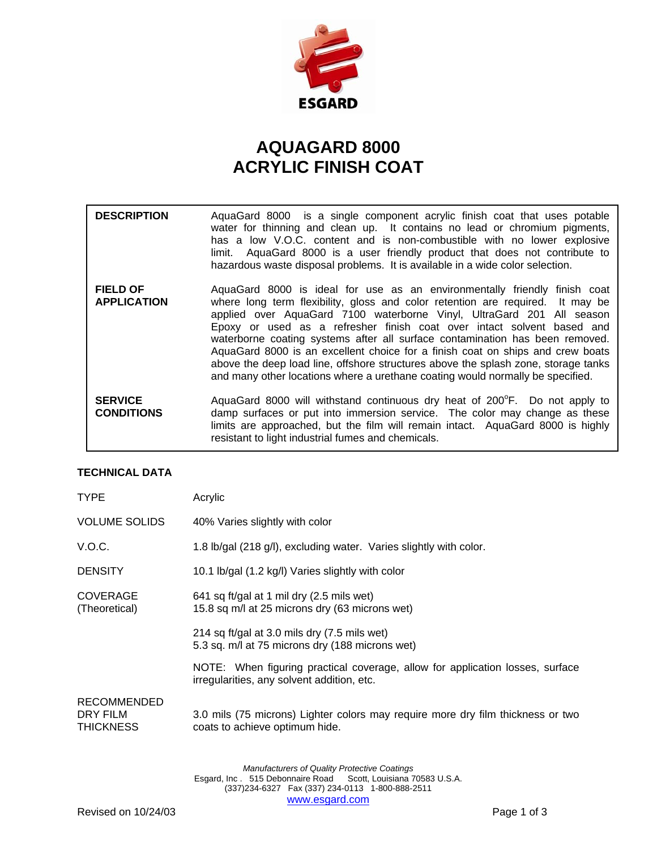

## **AQUAGARD 8000 ACRYLIC FINISH COAT**

| <b>DESCRIPTION</b>                    | AquaGard 8000 is a single component acrylic finish coat that uses potable<br>water for thinning and clean up. It contains no lead or chromium pigments,<br>has a low V.O.C. content and is non-combustible with no lower explosive<br>limit. AquaGard 8000 is a user friendly product that does not contribute to<br>hazardous waste disposal problems. It is available in a wide color selection.                                                                                                                                                                                                                                                       |
|---------------------------------------|----------------------------------------------------------------------------------------------------------------------------------------------------------------------------------------------------------------------------------------------------------------------------------------------------------------------------------------------------------------------------------------------------------------------------------------------------------------------------------------------------------------------------------------------------------------------------------------------------------------------------------------------------------|
| <b>FIELD OF</b><br><b>APPLICATION</b> | AquaGard 8000 is ideal for use as an environmentally friendly finish coat<br>where long term flexibility, gloss and color retention are required. It may be<br>applied over AquaGard 7100 waterborne Vinyl, UltraGard 201 All season<br>Epoxy or used as a refresher finish coat over intact solvent based and<br>waterborne coating systems after all surface contamination has been removed.<br>AquaGard 8000 is an excellent choice for a finish coat on ships and crew boats<br>above the deep load line, offshore structures above the splash zone, storage tanks<br>and many other locations where a urethane coating would normally be specified. |
| <b>SERVICE</b><br><b>CONDITIONS</b>   | AquaGard 8000 will withstand continuous dry heat of 200 <sup>°</sup> F. Do not apply to<br>damp surfaces or put into immersion service. The color may change as these<br>limits are approached, but the film will remain intact. AquaGard 8000 is highly<br>resistant to light industrial fumes and chemicals.                                                                                                                                                                                                                                                                                                                                           |

## **TECHNICAL DATA**

| <b>TYPE</b>                                        | Acrylic                                                                                                                     |  |
|----------------------------------------------------|-----------------------------------------------------------------------------------------------------------------------------|--|
| <b>VOLUME SOLIDS</b>                               | 40% Varies slightly with color                                                                                              |  |
| V.O.C.                                             | 1.8 lb/gal (218 g/l), excluding water. Varies slightly with color.                                                          |  |
| <b>DENSITY</b>                                     | 10.1 lb/gal (1.2 kg/l) Varies slightly with color                                                                           |  |
| <b>COVERAGE</b><br>(Theoretical)                   | 641 sq ft/gal at 1 mil dry (2.5 mils wet)<br>15.8 sq m/l at 25 microns dry (63 microns wet)                                 |  |
|                                                    | 214 sq ft/gal at 3.0 mils dry (7.5 mils wet)<br>5.3 sq. m/l at 75 microns dry (188 microns wet)                             |  |
|                                                    | NOTE: When figuring practical coverage, allow for application losses, surface<br>irregularities, any solvent addition, etc. |  |
| <b>RECOMMENDED</b><br>DRY FILM<br><b>THICKNESS</b> | 3.0 mils (75 microns) Lighter colors may require more dry film thickness or two<br>coats to achieve optimum hide.           |  |
|                                                    |                                                                                                                             |  |

*Manufacturers of Quality Protective Coatings*  Esgard, Inc . 515 Debonnaire Road Scott, Louisiana 70583 U.S.A. (337)234-6327 Fax (337) 234-0113 1-800-888-2511 www.esgard.com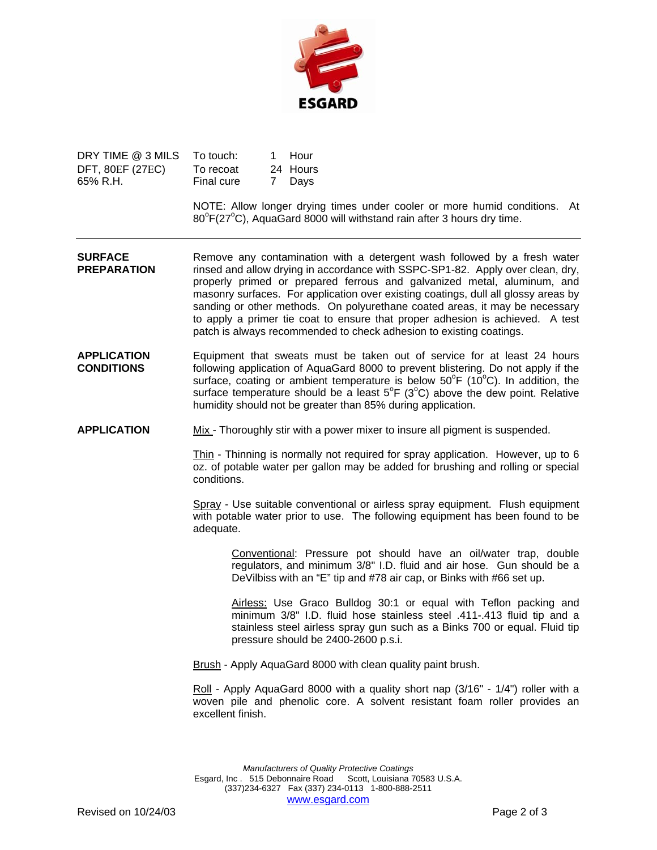

| DRY TIME @ 3 MILS       | To touch:  | 1 Hour   |
|-------------------------|------------|----------|
| <b>DFT, 80EF (27EC)</b> | To recoat  | 24 Hours |
| 65% R.H.                | Final cure | 7 Days   |

NOTE: Allow longer drying times under cooler or more humid conditions. At  $80^{\circ}$ F(27 $^{\circ}$ C), AquaGard 8000 will withstand rain after 3 hours dry time.

- **SURFACE** Remove any contamination with a detergent wash followed by a fresh water **PREPARATION** rinsed and allow drying in accordance with SSPC-SP1-82. Apply over clean, dry, properly primed or prepared ferrous and galvanized metal, aluminum, and masonry surfaces. For application over existing coatings, dull all glossy areas by sanding or other methods. On polyurethane coated areas, it may be necessary to apply a primer tie coat to ensure that proper adhesion is achieved. A test patch is always recommended to check adhesion to existing coatings.
- **APPLICATION** Equipment that sweats must be taken out of service for at least 24 hours **CONDITIONS** following application of AquaGard 8000 to prevent blistering. Do not apply if the surface, coating or ambient temperature is below  $50^{\circ}$ F (10 $^{\circ}$ C). In addition, the surface temperature should be a least  $5^{\circ}F$  (3 $^{\circ}C$ ) above the dew point. Relative humidity should not be greater than 85% during application.

**APPLICATION** Mix - Thoroughly stir with a power mixer to insure all pigment is suspended.

Thin - Thinning is normally not required for spray application. However, up to 6 oz. of potable water per gallon may be added for brushing and rolling or special conditions.

Spray - Use suitable conventional or airless spray equipment. Flush equipment with potable water prior to use. The following equipment has been found to be adequate.

Conventional: Pressure pot should have an oil/water trap, double regulators, and minimum 3/8" I.D. fluid and air hose. Gun should be a DeVilbiss with an "E" tip and #78 air cap, or Binks with #66 set up.

Airless: Use Graco Bulldog 30:1 or equal with Teflon packing and minimum 3/8" I.D. fluid hose stainless steel .411-.413 fluid tip and a stainless steel airless spray gun such as a Binks 700 or equal. Fluid tip pressure should be 2400-2600 p.s.i.

Brush - Apply AquaGard 8000 with clean quality paint brush.

Roll - Apply AquaGard 8000 with a quality short nap (3/16" - 1/4") roller with a woven pile and phenolic core. A solvent resistant foam roller provides an excellent finish.